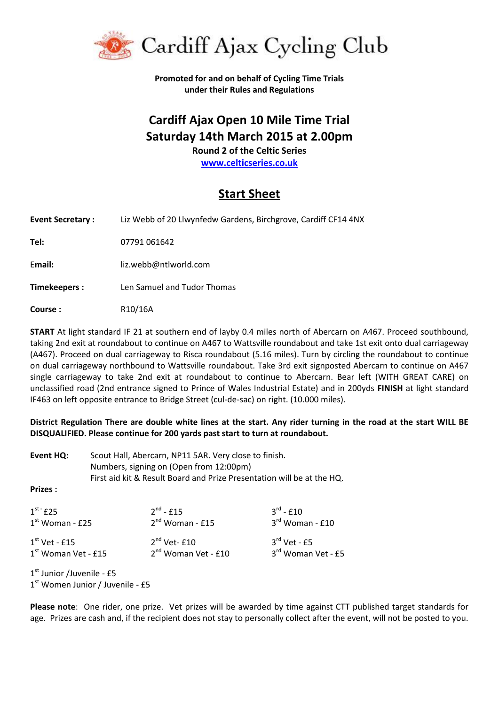

**Promoted for and on behalf of Cycling Time Trials under their Rules and Regulations**

## **Cardiff Ajax Open 10 Mile Time Trial Saturday 14th March 2015 at 2.00pm**

**Round 2 of the Celtic Series**

**[www.celticseries.co.uk](http://www.celticseries.co.uk/)**

## **Start Sheet**

**Event Secretary :** Liz Webb of 20 Llwynfedw Gardens, Birchgrove, Cardiff CF14 4NX **Tel:** 07791 061642 E**mail:** liz.webb@ntlworld.com **Timekeepers :** Len Samuel and Tudor Thomas

**Course :** R10/16A

**START** At light standard IF 21 at southern end of layby 0.4 miles north of Abercarn on A467. Proceed southbound, taking 2nd exit at roundabout to continue on A467 to Wattsville roundabout and take 1st exit onto dual carriageway (A467). Proceed on dual carriageway to Risca roundabout (5.16 miles). Turn by circling the roundabout to continue on dual carriageway northbound to Wattsville roundabout. Take 3rd exit signposted Abercarn to continue on A467 single carriageway to take 2nd exit at roundabout to continue to Abercarn. Bear left (WITH GREAT CARE) on unclassified road (2nd entrance signed to Prince of Wales Industrial Estate) and in 200yds **FINISH** at light standard IF463 on left opposite entrance to Bridge Street (cul-de-sac) on right. (10.000 miles).

**District Regulation There are double white lines at the start. Any rider turning in the road at the start WILL BE DISQUALIFIED. Please continue for 200 yards past start to turn at roundabout.**

| Event HQ:                                          | Scout Hall, Abercarn, NP11 5AR. Very close to finish.<br>Numbers, signing on (Open from 12:00pm)<br>First aid kit & Result Board and Prize Presentation will be at the HQ. |                                                     |                                            |  |  |  |
|----------------------------------------------------|----------------------------------------------------------------------------------------------------------------------------------------------------------------------------|-----------------------------------------------------|--------------------------------------------|--|--|--|
| <b>Prizes:</b>                                     |                                                                                                                                                                            |                                                     |                                            |  |  |  |
| $1st$ £25<br>$1st$ Woman - £25                     |                                                                                                                                                                            | $2^{nd} - 515$<br>$2^{nd}$ Woman - £15              | $3^{\text{rd}}$ - £10<br>$3rd$ Woman - £10 |  |  |  |
| $1st$ Vet - £15<br>1 <sup>st</sup> Woman Vet - £15 |                                                                                                                                                                            | $2nd$ Vet- $f10$<br>2 <sup>nd</sup> Woman Vet - £10 | $3rd$ Vet - £5<br>3rd Woman Vet - £5       |  |  |  |
| $1st$ Junior /Juvenile - £5                        |                                                                                                                                                                            |                                                     |                                            |  |  |  |

1st Women Junior / Juvenile - £5

**Please note**: One rider, one prize. Vet prizes will be awarded by time against CTT published target standards for age. Prizes are cash and, if the recipient does not stay to personally collect after the event, will not be posted to you.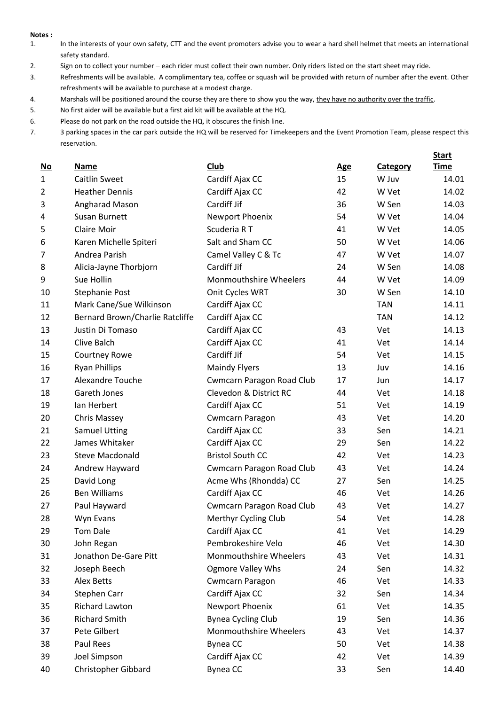## **Notes :**

- 1. In the interests of your own safety, CTT and the event promoters advise you to wear a hard shell helmet that meets an international safety standard.
- 2. Sign on to collect your number each rider must collect their own number. Only riders listed on the start sheet may ride.
- 3. Refreshments will be available. A complimentary tea, coffee or squash will be provided with return of number after the event. Other refreshments will be available to purchase at a modest charge.
- 4. Marshals will be positioned around the course they are there to show you the way, they have no authority over the traffic.
- 5. No first aider will be available but a first aid kit will be available at the HQ.
- 6. Please do not park on the road outside the HQ, it obscures the finish line.
- 7. 3 parking spaces in the car park outside the HQ will be reserved for Timekeepers and the Event Promotion Team, please respect this reservation.

|                           |                                 |                                  |            |                 | <b>Start</b> |
|---------------------------|---------------------------------|----------------------------------|------------|-----------------|--------------|
| $\underline{\mathsf{No}}$ | Name                            | Club                             | <b>Age</b> | <b>Category</b> | <b>Time</b>  |
| 1                         | <b>Caitlin Sweet</b>            | Cardiff Ajax CC                  | 15         | W Juv           | 14.01        |
| 2                         | <b>Heather Dennis</b>           | Cardiff Ajax CC                  | 42         | W Vet           | 14.02        |
| 3                         | Angharad Mason                  | Cardiff Jif                      | 36         | W Sen           | 14.03        |
| 4                         | Susan Burnett                   | Newport Phoenix                  | 54         | W Vet           | 14.04        |
| 5                         | Claire Moir                     | Scuderia RT                      | 41         | W Vet           | 14.05        |
| 6                         | Karen Michelle Spiteri          | Salt and Sham CC                 | 50         | W Vet           | 14.06        |
| 7                         | Andrea Parish                   | Camel Valley C & Tc              | 47         | W Vet           | 14.07        |
| 8                         | Alicia-Jayne Thorbjorn          | Cardiff Jif                      | 24         | W Sen           | 14.08        |
| 9                         | Sue Hollin                      | Monmouthshire Wheelers           | 44         | W Vet           | 14.09        |
| 10                        | <b>Stephanie Post</b>           | Onit Cycles WRT                  | 30         | W Sen           | 14.10        |
| 11                        | Mark Cane/Sue Wilkinson         | Cardiff Ajax CC                  |            | <b>TAN</b>      | 14.11        |
| 12                        | Bernard Brown/Charlie Ratcliffe | Cardiff Ajax CC                  |            | <b>TAN</b>      | 14.12        |
| 13                        | Justin Di Tomaso                | Cardiff Ajax CC                  | 43         | Vet             | 14.13        |
| 14                        | Clive Balch                     | Cardiff Ajax CC                  | 41         | Vet             | 14.14        |
| 15                        | Courtney Rowe                   | Cardiff Jif                      | 54         | Vet             | 14.15        |
| 16                        | <b>Ryan Phillips</b>            | <b>Maindy Flyers</b>             | 13         | Juv             | 14.16        |
| 17                        | Alexandre Touche                | <b>Cwmcarn Paragon Road Club</b> | 17         | Jun             | 14.17        |
| 18                        | Gareth Jones                    | Clevedon & District RC           | 44         | Vet             | 14.18        |
| 19                        | Ian Herbert                     | Cardiff Ajax CC                  | 51         | Vet             | 14.19        |
| 20                        | Chris Massey                    | <b>Cwmcarn Paragon</b>           | 43         | Vet             | 14.20        |
| 21                        | <b>Samuel Utting</b>            | Cardiff Ajax CC                  | 33         | Sen             | 14.21        |
| 22                        | James Whitaker                  | Cardiff Ajax CC                  | 29         | Sen             | 14.22        |
| 23                        | <b>Steve Macdonald</b>          | <b>Bristol South CC</b>          | 42         | Vet             | 14.23        |
| 24                        | Andrew Hayward                  | <b>Cwmcarn Paragon Road Club</b> | 43         | Vet             | 14.24        |
| 25                        | David Long                      | Acme Whs (Rhondda) CC            | 27         | Sen             | 14.25        |
| 26                        | <b>Ben Williams</b>             | Cardiff Ajax CC                  | 46         | Vet             | 14.26        |
| 27                        | Paul Hayward                    | <b>Cwmcarn Paragon Road Club</b> | 43         | Vet             | 14.27        |
| 28                        | Wyn Evans                       | Merthyr Cycling Club             | 54         | Vet             | 14.28        |
| 29                        | <b>Tom Dale</b>                 | Cardiff Ajax CC                  | 41         | Vet             | 14.29        |
| 30                        | John Regan                      | Pembrokeshire Velo               | 46         | Vet             | 14.30        |
| 31                        | Jonathon De-Gare Pitt           | Monmouthshire Wheelers           | 43         | Vet             | 14.31        |
| 32                        | Joseph Beech                    | <b>Ogmore Valley Whs</b>         | 24         | Sen             | 14.32        |
| 33                        | Alex Betts                      | <b>Cwmcarn Paragon</b>           | 46         | Vet             | 14.33        |
| 34                        | Stephen Carr                    | Cardiff Ajax CC                  | 32         | Sen             | 14.34        |
| 35                        | Richard Lawton                  | Newport Phoenix                  | 61         | Vet             | 14.35        |
| 36                        | <b>Richard Smith</b>            | <b>Bynea Cycling Club</b>        | 19         | Sen             | 14.36        |
| 37                        | Pete Gilbert                    | Monmouthshire Wheelers           | 43         | Vet             | 14.37        |
| 38                        | Paul Rees                       | Bynea CC                         | 50         | Vet             | 14.38        |
| 39                        | Joel Simpson                    | Cardiff Ajax CC                  | 42         | Vet             | 14.39        |
| 40                        | <b>Christopher Gibbard</b>      | Bynea CC                         | 33         | Sen             | 14.40        |